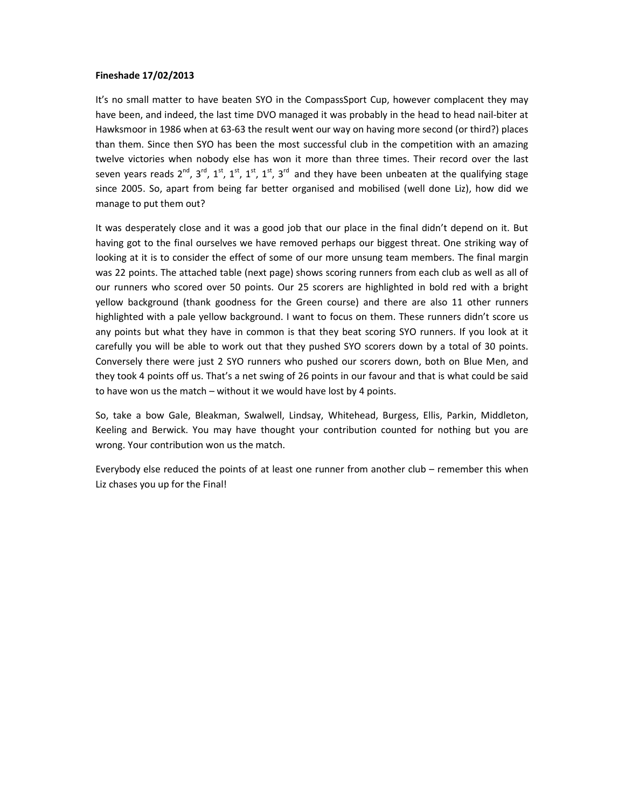## **Fineshade 17/02/2013**

It's no small matter to have beaten SYO in the CompassSport Cup, however complacent they may have been, and indeed, the last time DVO managed it was probably in the head to head nail-biter at Hawksmoor in 1986 when at 63-63 the result went our way on having more second (or third?) places than them. Since then SYO has been the most successful club in the competition with an amazing twelve victories when nobody else has won it more than three times. Their record over the last seven years reads  $2^{nd}$ ,  $3^{rd}$ ,  $1^{st}$ ,  $1^{st}$ ,  $1^{st}$ ,  $3^{rd}$  and they have been unbeaten at the qualifying stage since 2005. So, apart from being far better organised and mobilised (well done Liz), how did we manage to put them out?

It was desperately close and it was a good job that our place in the final didn't depend on it. But having got to the final ourselves we have removed perhaps our biggest threat. One striking way of looking at it is to consider the effect of some of our more unsung team members. The final margin was 22 points. The attached table (next page) shows scoring runners from each club as well as all of our runners who scored over 50 points. Our 25 scorers are highlighted in bold red with a bright yellow background (thank goodness for the Green course) and there are also 11 other runners highlighted with a pale yellow background. I want to focus on them. These runners didn't score us any points but what they have in common is that they beat scoring SYO runners. If you look at it carefully you will be able to work out that they pushed SYO scorers down by a total of 30 points. Conversely there were just 2 SYO runners who pushed our scorers down, both on Blue Men, and they took 4 points off us. That's a net swing of 26 points in our favour and that is what could be said to have won us the match – without it we would have lost by 4 points.

So, take a bow Gale, Bleakman, Swalwell, Lindsay, Whitehead, Burgess, Ellis, Parkin, Middleton, Keeling and Berwick. You may have thought your contribution counted for nothing but you are wrong. Your contribution won us the match.

Everybody else reduced the points of at least one runner from another club – remember this when Liz chases you up for the Final!